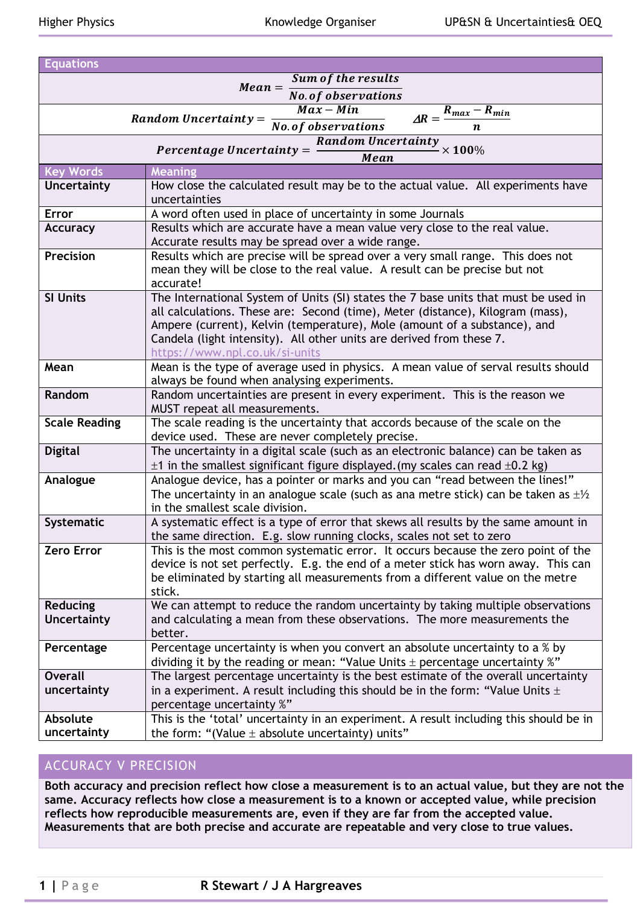| Sum of the results                                                                                                                     |  |  |  |  |  |  |  |
|----------------------------------------------------------------------------------------------------------------------------------------|--|--|--|--|--|--|--|
| $Mean =$<br><b>No. of observations</b>                                                                                                 |  |  |  |  |  |  |  |
| $\overline{Max - Min}$<br>$\Delta R = \frac{R_{max} - R_{min}}{R_{min}}$                                                               |  |  |  |  |  |  |  |
| Random Uncertainty = $\frac{1}{No. of observations}$                                                                                   |  |  |  |  |  |  |  |
| <b>Random Uncertainty</b>                                                                                                              |  |  |  |  |  |  |  |
| Percentage Uncertainty $=$<br>$\times 100\%$<br>Mean                                                                                   |  |  |  |  |  |  |  |
| <b>Meaning</b>                                                                                                                         |  |  |  |  |  |  |  |
| How close the calculated result may be to the actual value. All experiments have                                                       |  |  |  |  |  |  |  |
| uncertainties                                                                                                                          |  |  |  |  |  |  |  |
| A word often used in place of uncertainty in some Journals                                                                             |  |  |  |  |  |  |  |
| Results which are accurate have a mean value very close to the real value.                                                             |  |  |  |  |  |  |  |
| Accurate results may be spread over a wide range.<br>Results which are precise will be spread over a very small range. This does not   |  |  |  |  |  |  |  |
| mean they will be close to the real value. A result can be precise but not                                                             |  |  |  |  |  |  |  |
| accurate!                                                                                                                              |  |  |  |  |  |  |  |
| The International System of Units (SI) states the 7 base units that must be used in                                                    |  |  |  |  |  |  |  |
| all calculations. These are: Second (time), Meter (distance), Kilogram (mass),                                                         |  |  |  |  |  |  |  |
| Ampere (current), Kelvin (temperature), Mole (amount of a substance), and                                                              |  |  |  |  |  |  |  |
| Candela (light intensity). All other units are derived from these 7.                                                                   |  |  |  |  |  |  |  |
| https://www.npl.co.uk/si-units                                                                                                         |  |  |  |  |  |  |  |
| Mean is the type of average used in physics. A mean value of serval results should                                                     |  |  |  |  |  |  |  |
| always be found when analysing experiments.                                                                                            |  |  |  |  |  |  |  |
| Random uncertainties are present in every experiment. This is the reason we                                                            |  |  |  |  |  |  |  |
| MUST repeat all measurements.                                                                                                          |  |  |  |  |  |  |  |
| The scale reading is the uncertainty that accords because of the scale on the                                                          |  |  |  |  |  |  |  |
| device used. These are never completely precise.<br>The uncertainty in a digital scale (such as an electronic balance) can be taken as |  |  |  |  |  |  |  |
| $\pm$ 1 in the smallest significant figure displayed. (my scales can read $\pm$ 0.2 kg)                                                |  |  |  |  |  |  |  |
| Analogue device, has a pointer or marks and you can "read between the lines!"                                                          |  |  |  |  |  |  |  |
| The uncertainty in an analogue scale (such as ana metre stick) can be taken as $\pm\frac{1}{2}$                                        |  |  |  |  |  |  |  |
| in the smallest scale division.                                                                                                        |  |  |  |  |  |  |  |
| A systematic effect is a type of error that skews all results by the same amount in                                                    |  |  |  |  |  |  |  |
| the same direction. E.g. slow running clocks, scales not set to zero                                                                   |  |  |  |  |  |  |  |
| This is the most common systematic error. It occurs because the zero point of the                                                      |  |  |  |  |  |  |  |
| device is not set perfectly. E.g. the end of a meter stick has worn away. This can                                                     |  |  |  |  |  |  |  |
| be eliminated by starting all measurements from a different value on the metre                                                         |  |  |  |  |  |  |  |
| stick.                                                                                                                                 |  |  |  |  |  |  |  |
| We can attempt to reduce the random uncertainty by taking multiple observations                                                        |  |  |  |  |  |  |  |
| and calculating a mean from these observations. The more measurements the                                                              |  |  |  |  |  |  |  |
| better.<br>Percentage uncertainty is when you convert an absolute uncertainty to a $\frac{2}{3}$ by                                    |  |  |  |  |  |  |  |
| dividing it by the reading or mean: "Value Units $\pm$ percentage uncertainty %"                                                       |  |  |  |  |  |  |  |
| The largest percentage uncertainty is the best estimate of the overall uncertainty                                                     |  |  |  |  |  |  |  |
| in a experiment. A result including this should be in the form: "Value Units $\pm$                                                     |  |  |  |  |  |  |  |
| percentage uncertainty %"                                                                                                              |  |  |  |  |  |  |  |
| This is the 'total' uncertainty in an experiment. A result including this should be in                                                 |  |  |  |  |  |  |  |
| the form: "(Value $\pm$ absolute uncertainty) units"                                                                                   |  |  |  |  |  |  |  |
|                                                                                                                                        |  |  |  |  |  |  |  |

## ACCURACY V PRECISION

**Both accuracy and precision reflect how close a measurement is to an actual value, but they are not the same. Accuracy reflects how close a measurement is to a known or accepted value, while precision reflects how reproducible measurements are, even if they are far from the accepted value. Measurements that are both precise and accurate are repeatable and very close to true values.**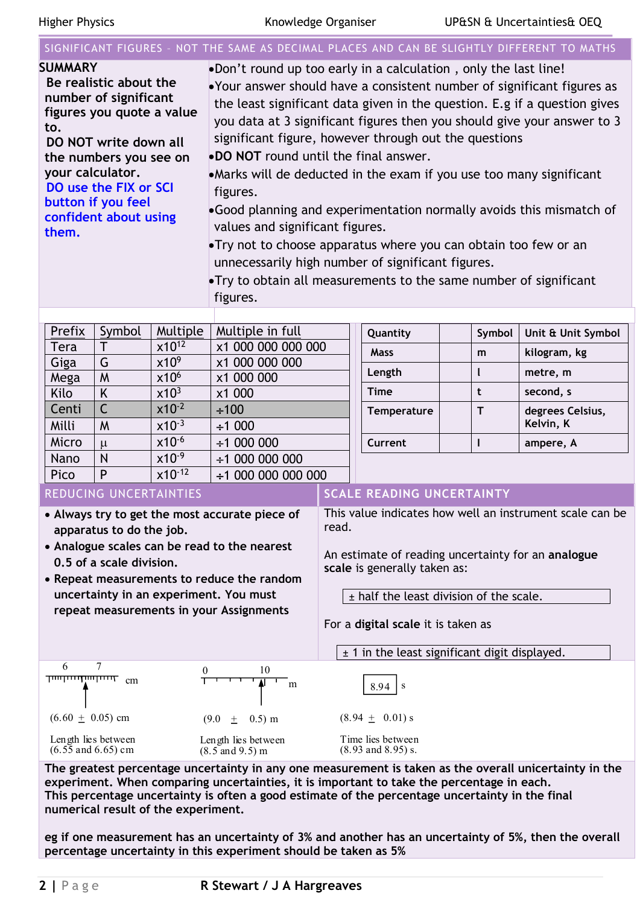## SIGNIFICANT FIGURES – NOT THE SAME AS DECIMAL PLACES AND CAN BE SLIGHTLY DIFFERENT TO MATHS

| <b>SUMMARY</b>                 | •Don't round up too early in a calculation, only the last line!           |
|--------------------------------|---------------------------------------------------------------------------|
| Be realistic about the         | •Your answer should have a consistent number of significant figures as    |
| number of significant          | the least significant data given in the question. E.g if a question gives |
| figures you quote a value      | you data at 3 significant figures then you should give your answer to 3   |
| to.                            | significant figure, however through out the questions                     |
| DO NOT write down all          | <b>.DO NOT</b> round until the final answer.                              |
| the numbers you see on         |                                                                           |
| your calculator.               | • Marks will de deducted in the exam if you use too many significant      |
| DO use the FIX or SCI          | figures.                                                                  |
| button if you feel             | •Good planning and experimentation normally avoids this mismatch of       |
| confident about using<br>them. | values and significant figures.                                           |
|                                | •Try not to choose apparatus where you can obtain too few or an           |
|                                | unnecessarily high number of significant figures.                         |
|                                | • Try to obtain all measurements to the same number of significant        |
|                                | figures.                                                                  |

| Prefix | Symbol | Multiple         | Multiple in full         | Quantity           | Symbol | Unit & Unit Symbol |
|--------|--------|------------------|--------------------------|--------------------|--------|--------------------|
| Tera   |        | $x10^{12}$       | x1 000 000 000 000       | <b>Mass</b>        | m      | kilogram, kg       |
| Giga   | G      | x10 <sup>9</sup> | x1 000 000 000           |                    |        |                    |
| Mega   | M      | x10 <sup>6</sup> | x1 000 000               | Length             |        | metre, m           |
| Kilo   | K      | x10 <sup>3</sup> | x1 000                   | <b>Time</b>        |        | second, s          |
| Centi  |        | $x10^{-2}$       | $\div 100$               | <b>Temperature</b> |        | degrees Celsius,   |
| Milli  | M      | $x10^{-3}$       | ±1000                    |                    |        | Kelvin, K          |
| Micro  | $\mu$  | $x10^{-6}$       | $\div$ 1 000 000         | Current            |        | ampere, A          |
| Nano   | N      | $x10^{-9}$       | $\div$ 1 000 000 000     |                    |        |                    |
| Pico   | P      | $x10^{-12}$      | $\div$ 1 000 000 000 000 |                    |        |                    |
|        |        |                  |                          | .                  |        |                    |

- **Always try to get the most accurate piece of apparatus to do the job.**
- **Analogue scales can be read to the nearest 0.5 of a scale division.**
- **Repeat measurements to reduce the random uncertainty in an experiment. You must repeat measurements in your Assignments**

#### REDUCING UNCERTAINTIES **SCALE READING UNCERTAINTY**

This value indicates how well an instrument scale can be read.

An estimate of reading uncertainty for an **analogue scale** is generally taken as:

 $\pm$  half the least division of the scale.

For a **digital scale** it is taken as

± 1 in the least significant digit displayed.



**The greatest percentage uncertainty in any one measurement is taken as the overall unicertainty in the experiment. When comparing uncertainties, it is important to take the percentage in each. This percentage uncertainty is often a good estimate of the percentage uncertainty in the final numerical result of the experiment.**

**eg if one measurement has an uncertainty of 3% and another has an uncertainty of 5%, then the overall**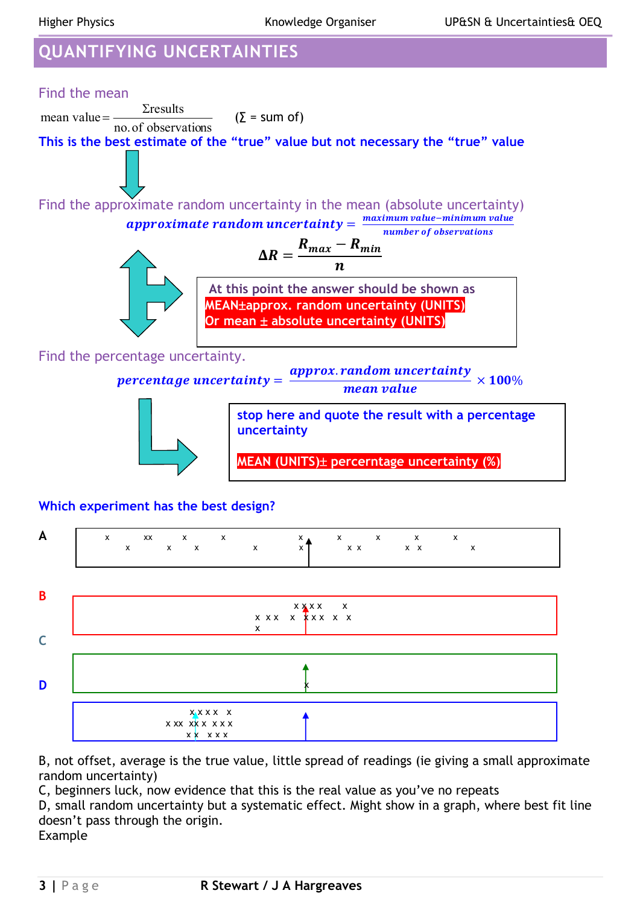# **QUANTIFYING UNCERTAINTIES**



## **Which experiment has the best design?**



B, not offset, average is the true value, little spread of readings (ie giving a small approximate random uncertainty)

C, beginners luck, now evidence that this is the real value as you've no repeats

D, small random uncertainty but a systematic effect. Might show in a graph, where best fit line doesn't pass through the origin.

Example